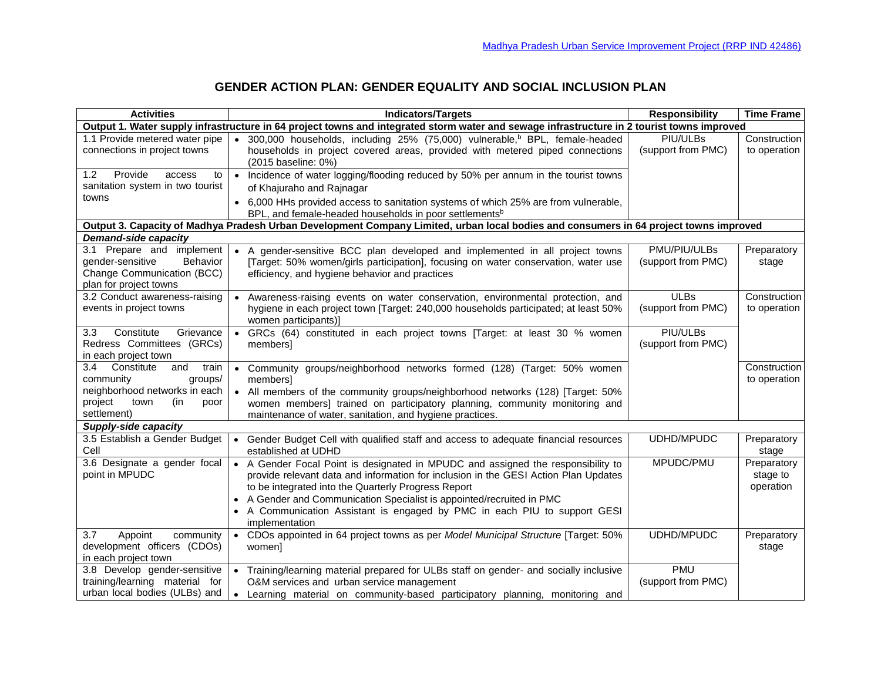| <b>Activities</b>                                                                                                                          | <b>Indicators/Targets</b>                                                                                                                                                                                                                                                                                                                                                                              | <b>Responsibility</b>              | <b>Time Frame</b>                    |  |  |
|--------------------------------------------------------------------------------------------------------------------------------------------|--------------------------------------------------------------------------------------------------------------------------------------------------------------------------------------------------------------------------------------------------------------------------------------------------------------------------------------------------------------------------------------------------------|------------------------------------|--------------------------------------|--|--|
| Output 1. Water supply infrastructure in 64 project towns and integrated storm water and sewage infrastructure in 2 tourist towns improved |                                                                                                                                                                                                                                                                                                                                                                                                        |                                    |                                      |  |  |
| 1.1 Provide metered water pipe<br>connections in project towns                                                                             | • 300,000 households, including 25% (75,000) vulnerable, <sup>b</sup> BPL, female-headed<br>households in project covered areas, provided with metered piped connections<br>(2015 baseline: 0%)                                                                                                                                                                                                        | PIU/ULBs<br>(support from PMC)     | Construction<br>to operation         |  |  |
| Provide<br>1.2<br>access<br>to<br>sanitation system in two tourist<br>towns                                                                | Incidence of water logging/flooding reduced by 50% per annum in the tourist towns<br>$\bullet$<br>of Khajuraho and Rajnagar<br>• 6,000 HHs provided access to sanitation systems of which 25% are from vulnerable,<br>BPL, and female-headed households in poor settlements <sup>b</sup>                                                                                                               |                                    |                                      |  |  |
|                                                                                                                                            | Output 3. Capacity of Madhya Pradesh Urban Development Company Limited, urban local bodies and consumers in 64 project towns improved                                                                                                                                                                                                                                                                  |                                    |                                      |  |  |
| <b>Demand-side capacity</b>                                                                                                                |                                                                                                                                                                                                                                                                                                                                                                                                        |                                    |                                      |  |  |
| 3.1 Prepare and implement<br>gender-sensitive<br>Behavior<br>Change Communication (BCC)<br>plan for project towns                          | • A gender-sensitive BCC plan developed and implemented in all project towns<br>[Target: 50% women/girls participation], focusing on water conservation, water use<br>efficiency, and hygiene behavior and practices                                                                                                                                                                                   | PMU/PIU/ULBs<br>(support from PMC) | Preparatory<br>stage                 |  |  |
| 3.2 Conduct awareness-raising<br>events in project towns                                                                                   | Awareness-raising events on water conservation, environmental protection, and<br>hygiene in each project town [Target: 240,000 households participated; at least 50%<br>women participants)]                                                                                                                                                                                                           | <b>ULBs</b><br>(support from PMC)  | Construction<br>to operation         |  |  |
| Constitute<br>Grievance<br>3.3<br>Redress Committees (GRCs)<br>in each project town                                                        | • GRCs (64) constituted in each project towns [Target: at least 30 % women<br>members                                                                                                                                                                                                                                                                                                                  | PIU/ULBs<br>(support from PMC)     |                                      |  |  |
| 3.4 Constitute<br>and<br>train<br>community<br>groups/<br>neighborhood networks in each<br>project<br>town<br>(in<br>poor<br>settlement)   | Community groups/neighborhood networks formed (128) (Target: 50% women<br>$\bullet$<br>members]<br>• All members of the community groups/neighborhood networks (128) [Target: 50%<br>women members] trained on participatory planning, community monitoring and<br>maintenance of water, sanitation, and hygiene practices.                                                                            |                                    | Construction<br>to operation         |  |  |
| Supply-side capacity                                                                                                                       |                                                                                                                                                                                                                                                                                                                                                                                                        |                                    |                                      |  |  |
| 3.5 Establish a Gender Budget<br>Cell                                                                                                      | • Gender Budget Cell with qualified staff and access to adequate financial resources<br>established at UDHD                                                                                                                                                                                                                                                                                            | UDHD/MPUDC                         | Preparatory<br>stage                 |  |  |
| 3.6 Designate a gender focal<br>point in MPUDC                                                                                             | • A Gender Focal Point is designated in MPUDC and assigned the responsibility to<br>provide relevant data and information for inclusion in the GESI Action Plan Updates<br>to be integrated into the Quarterly Progress Report<br>• A Gender and Communication Specialist is appointed/recruited in PMC<br>• A Communication Assistant is engaged by PMC in each PIU to support GESI<br>implementation | MPUDC/PMU                          | Preparatory<br>stage to<br>operation |  |  |
| 3.7<br>Appoint<br>community<br>development officers (CDOs)<br>in each project town                                                         | • CDOs appointed in 64 project towns as per Model Municipal Structure [Target: 50%<br>women]                                                                                                                                                                                                                                                                                                           | UDHD/MPUDC                         | Preparatory<br>stage                 |  |  |
| 3.8 Develop gender-sensitive<br>training/learning material for<br>urban local bodies (ULBs) and                                            | • Training/learning material prepared for ULBs staff on gender- and socially inclusive<br>O&M services and urban service management<br>Learning material on community-based participatory planning, monitoring and<br>$\bullet$                                                                                                                                                                        | <b>PMU</b><br>(support from PMC)   |                                      |  |  |

## **GENDER ACTION PLAN: GENDER EQUALITY AND SOCIAL INCLUSION PLAN**